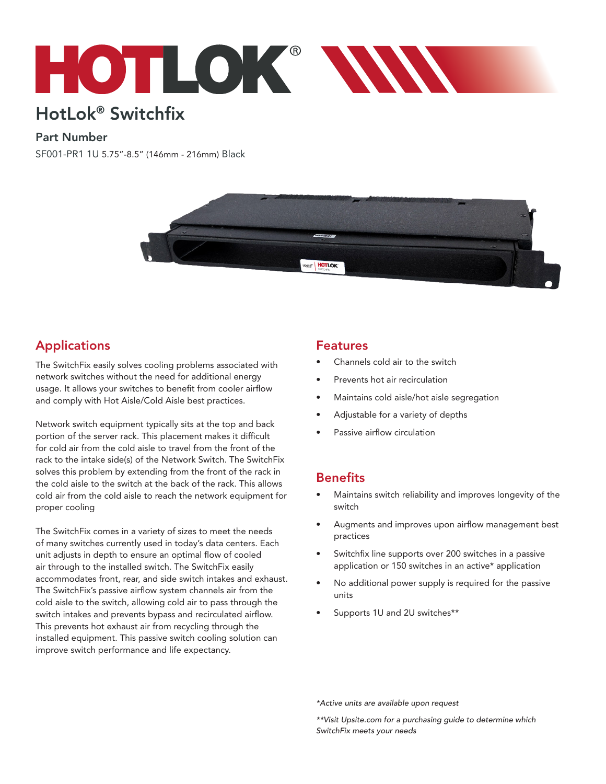

# HotLok® Switchfix

#### Part Number

SF001-PR1 1U 5.75"-8.5" (146mm - 216mm) Black



# Applications

The SwitchFix easily solves cooling problems associated with network switches without the need for additional energy usage. It allows your switches to benefit from cooler airflow and comply with Hot Aisle/Cold Aisle best practices.

Network switch equipment typically sits at the top and back portion of the server rack. This placement makes it difficult for cold air from the cold aisle to travel from the front of the rack to the intake side(s) of the Network Switch. The SwitchFix solves this problem by extending from the front of the rack in the cold aisle to the switch at the back of the rack. This allows cold air from the cold aisle to reach the network equipment for proper cooling

The SwitchFix comes in a variety of sizes to meet the needs of many switches currently used in today's data centers. Each unit adjusts in depth to ensure an optimal flow of cooled air through to the installed switch. The SwitchFix easily accommodates front, rear, and side switch intakes and exhaust. The SwitchFix's passive airflow system channels air from the cold aisle to the switch, allowing cold air to pass through the switch intakes and prevents bypass and recirculated airflow. This prevents hot exhaust air from recycling through the installed equipment. This passive switch cooling solution can improve switch performance and life expectancy.

#### Features

- Channels cold air to the switch
- Prevents hot air recirculation
- Maintains cold aisle/hot aisle segregation
- Adjustable for a variety of depths
- Passive airflow circulation

## **Benefits**

- Maintains switch reliability and improves longevity of the switch
- Augments and improves upon airflow management best practices
- Switchfix line supports over 200 switches in a passive application or 150 switches in an active\* application
- No additional power supply is required for the passive units
- Supports 1U and 2U switches\*\*

*\*Active units are available upon request*

*\*\*Visit Upsite.com for a purchasing guide to determine which SwitchFix meets your needs*